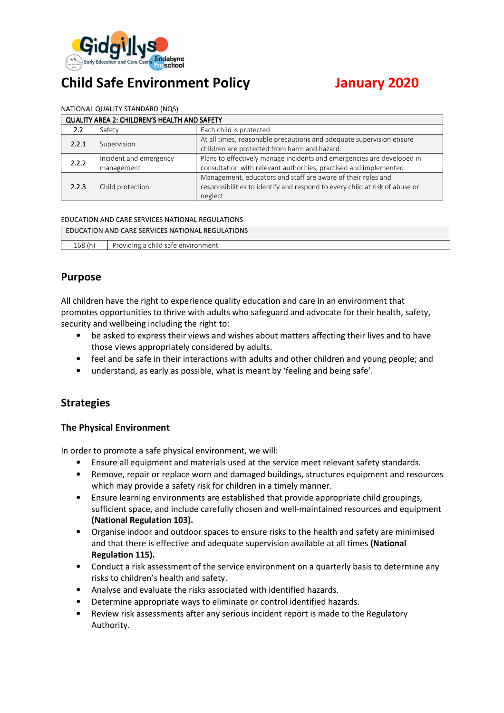

# **Child Safe Environment Policy January 2020**

#### NATIONAL QUALITY STANDARD (NQS)

| QUALITY AREA 2: CHILDREN'S HEALTH AND SAFETY |                                      |                                                                                                                                                         |  |  |
|----------------------------------------------|--------------------------------------|---------------------------------------------------------------------------------------------------------------------------------------------------------|--|--|
| 2.2                                          | Safety                               | Each child is protected                                                                                                                                 |  |  |
| 2.2.1                                        | Supervision                          | At all times, reasonable precautions and adequate supervision ensure<br>children are protected from harm and hazard.                                    |  |  |
| 2.2.2                                        | Incident and emergency<br>management | Plans to effectively manage incidents and emergencies are developed in<br>consultation with relevant authorities, practised and implemented.            |  |  |
| 2.2.3                                        | Child protection                     | Management, educators and staff are aware of their roles and<br>responsibilities to identify and respond to every child at risk of abuse or<br>neglect. |  |  |

#### EDUCATION AND CARE SERVICES NATIONAL REGULATIONS

| EDUCATION AND CARE SERVICES NATIONAL REGULATIONS |                                    |  |
|--------------------------------------------------|------------------------------------|--|
| 168(h)                                           | Providing a child safe environment |  |

## **Purpose**

All children have the right to experience quality education and care in an environment that promotes opportunities to thrive with adults who safeguard and advocate for their health, safety, security and wellbeing including the right to:

- be asked to express their views and wishes about matters affecting their lives and to have those views appropriately considered by adults.
- feel and be safe in their interactions with adults and other children and young people; and
- understand, as early as possible, what is meant by 'feeling and being safe'.

## **Strategies**

#### **The Physical Environment**

In order to promote a safe physical environment, we will:

- Ensure all equipment and materials used at the service meet relevant safety standards.
- Remove, repair or replace worn and damaged buildings, structures equipment and resources which may provide a safety risk for children in a timely manner.
- Ensure learning environments are established that provide appropriate child groupings, sufficient space, and include carefully chosen and well-maintained resources and equipment **(National Regulation 103).**
- Organise indoor and outdoor spaces to ensure risks to the health and safety are minimised and that there is effective and adequate supervision available at all times **(National Regulation 115).**
- Conduct a risk assessment of the service environment on a quarterly basis to determine any risks to children's health and safety.
- Analyse and evaluate the risks associated with identified hazards.
- Determine appropriate ways to eliminate or control identified hazards.
- Review risk assessments after any serious incident report is made to the Regulatory Authority.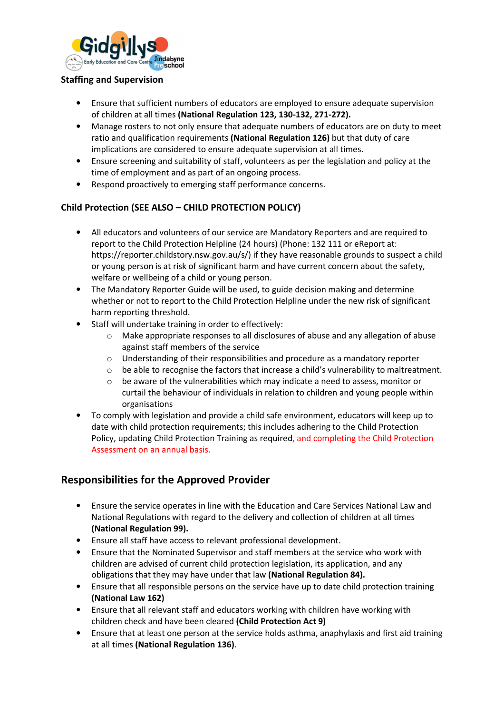

#### **Staffing and Supervision**

- Ensure that sufficient numbers of educators are employed to ensure adequate supervision of children at all times **(National Regulation 123, 130-132, 271-272).**
- Manage rosters to not only ensure that adequate numbers of educators are on duty to meet ratio and qualification requirements **(National Regulation 126)** but that duty of care implications are considered to ensure adequate supervision at all times.
- Ensure screening and suitability of staff, volunteers as per the legislation and policy at the time of employment and as part of an ongoing process.
- Respond proactively to emerging staff performance concerns.

#### **Child Protection (SEE ALSO – CHILD PROTECTION POLICY)**

- All educators and volunteers of our service are Mandatory Reporters and are required to report to the Child Protection Helpline (24 hours) (Phone: 132 111 or eReport at: https://reporter.childstory.nsw.gov.au/s/) if they have reasonable grounds to suspect a child or young person is at risk of significant harm and have current concern about the safety, welfare or wellbeing of a child or young person.
- The Mandatory Reporter Guide will be used, to guide decision making and determine whether or not to report to the Child Protection Helpline under the new risk of significant harm reporting threshold.
- Staff will undertake training in order to effectively:
	- $\circ$  Make appropriate responses to all disclosures of abuse and any allegation of abuse against staff members of the service
	- $\circ$  Understanding of their responsibilities and procedure as a mandatory reporter
	- $\circ$  be able to recognise the factors that increase a child's vulnerability to maltreatment.
	- $\circ$  be aware of the vulnerabilities which may indicate a need to assess, monitor or curtail the behaviour of individuals in relation to children and young people within organisations
- To comply with legislation and provide a child safe environment, educators will keep up to date with child protection requirements; this includes adhering to the Child Protection Policy, updating Child Protection Training as required, and completing the Child Protection Assessment on an annual basis.

## **Responsibilities for the Approved Provider**

- Ensure the service operates in line with the Education and Care Services National Law and National Regulations with regard to the delivery and collection of children at all times **(National Regulation 99).**
- Ensure all staff have access to relevant professional development.
- Ensure that the Nominated Supervisor and staff members at the service who work with children are advised of current child protection legislation, its application, and any obligations that they may have under that law **(National Regulation 84).**
- Ensure that all responsible persons on the service have up to date child protection training **(National Law 162)**
- Ensure that all relevant staff and educators working with children have working with children check and have been cleared **(Child Protection Act 9)**
- Ensure that at least one person at the service holds asthma, anaphylaxis and first aid training at all times **(National Regulation 136)**.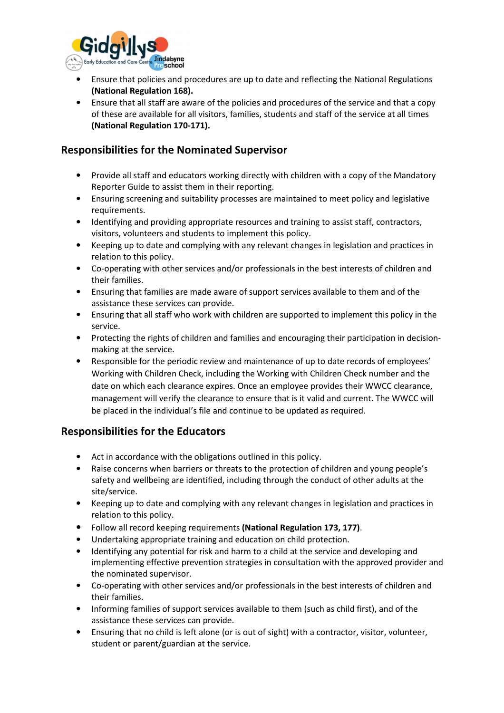

- Ensure that policies and procedures are up to date and reflecting the National Regulations **(National Regulation 168).**
- Ensure that all staff are aware of the policies and procedures of the service and that a copy of these are available for all visitors, families, students and staff of the service at all times **(National Regulation 170-171).**

# **Responsibilities for the Nominated Supervisor**

- Provide all staff and educators working directly with children with a copy of the Mandatory Reporter Guide to assist them in their reporting.
- Ensuring screening and suitability processes are maintained to meet policy and legislative requirements.
- Identifying and providing appropriate resources and training to assist staff, contractors, visitors, volunteers and students to implement this policy.
- Keeping up to date and complying with any relevant changes in legislation and practices in relation to this policy.
- Co-operating with other services and/or professionals in the best interests of children and their families.
- Ensuring that families are made aware of support services available to them and of the assistance these services can provide.
- Ensuring that all staff who work with children are supported to implement this policy in the service.
- Protecting the rights of children and families and encouraging their participation in decisionmaking at the service.
- Responsible for the periodic review and maintenance of up to date records of employees' Working with Children Check, including the Working with Children Check number and the date on which each clearance expires. Once an employee provides their WWCC clearance, management will verify the clearance to ensure that is it valid and current. The WWCC will be placed in the individual's file and continue to be updated as required.

## **Responsibilities for the Educators**

- Act in accordance with the obligations outlined in this policy.
- Raise concerns when barriers or threats to the protection of children and young people's safety and wellbeing are identified, including through the conduct of other adults at the site/service.
- Keeping up to date and complying with any relevant changes in legislation and practices in relation to this policy.
- Follow all record keeping requirements **(National Regulation 173, 177)**.
- Undertaking appropriate training and education on child protection.
- Identifying any potential for risk and harm to a child at the service and developing and implementing effective prevention strategies in consultation with the approved provider and the nominated supervisor.
- Co-operating with other services and/or professionals in the best interests of children and their families.
- Informing families of support services available to them (such as child first), and of the assistance these services can provide.
- Ensuring that no child is left alone (or is out of sight) with a contractor, visitor, volunteer, student or parent/guardian at the service.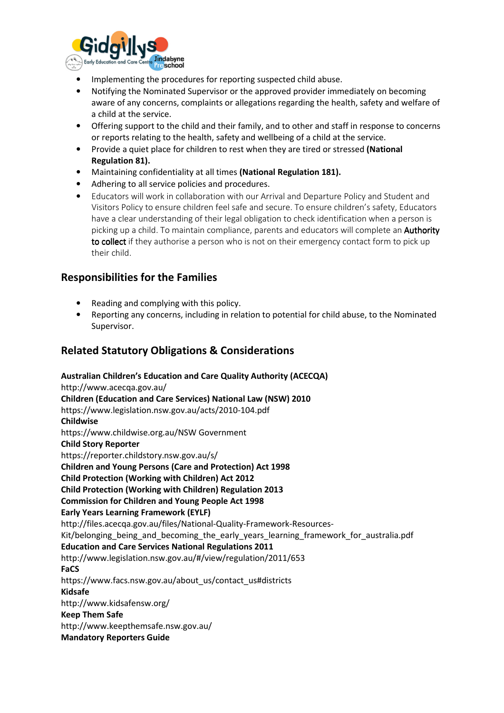

- Implementing the procedures for reporting suspected child abuse.
- Notifying the Nominated Supervisor or the approved provider immediately on becoming aware of any concerns, complaints or allegations regarding the health, safety and welfare of a child at the service.
- Offering support to the child and their family, and to other and staff in response to concerns or reports relating to the health, safety and wellbeing of a child at the service.
- Provide a quiet place for children to rest when they are tired or stressed **(National Regulation 81).**
- Maintaining confidentiality at all times **(National Regulation 181).**
- Adhering to all service policies and procedures.
- Educators will work in collaboration with our Arrival and Departure Policy and Student and Visitors Policy to ensure children feel safe and secure. To ensure children's safety, Educators have a clear understanding of their legal obligation to check identification when a person is picking up a child. To maintain compliance, parents and educators will complete an **Authority** to collect if they authorise a person who is not on their emergency contact form to pick up their child.

## **Responsibilities for the Families**

- Reading and complying with this policy.
- Reporting any concerns, including in relation to potential for child abuse, to the Nominated Supervisor.

# **Related Statutory Obligations & Considerations**

**Australian Children's Education and Care Quality Authority (ACECQA)** http://www.acecqa.gov.au/ **Children (Education and Care Services) National Law (NSW) 2010** https://www.legislation.nsw.gov.au/acts/2010-104.pdf **Childwise**  https://www.childwise.org.au/NSW Government **Child Story Reporter** https://reporter.childstory.nsw.gov.au/s/ **Children and Young Persons (Care and Protection) Act 1998 Child Protection (Working with Children) Act 2012 Child Protection (Working with Children) Regulation 2013 Commission for Children and Young People Act 1998 Early Years Learning Framework (EYLF)** http://files.acecqa.gov.au/files/National-Quality-Framework-Resources-Kit/belonging\_being\_and\_becoming\_the\_early\_years\_learning\_framework\_for\_australia.pdf **Education and Care Services National Regulations 2011**  http://www.legislation.nsw.gov.au/#/view/regulation/2011/653 **FaCS** https://www.facs.nsw.gov.au/about\_us/contact\_us#districts **Kidsafe**  http://www.kidsafensw.org/ **Keep Them Safe** http://www.keepthemsafe.nsw.gov.au/ **Mandatory Reporters Guide**